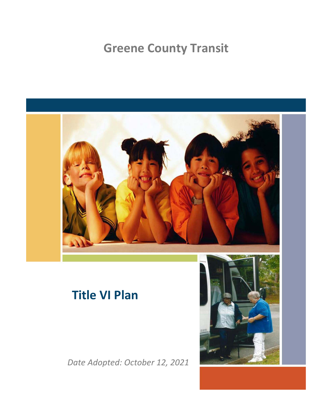## **Greene County Transit**



## **Title VI Plan**

*Date Adopted: October 12, 2021*

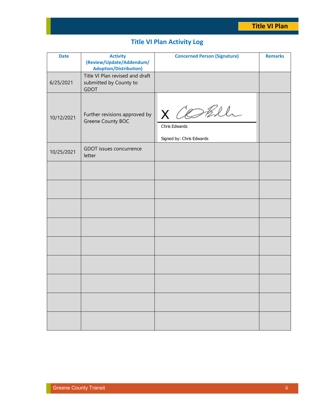## **Title VI Plan Activity Log**

| <b>Date</b> | <b>Activity</b><br>(Review/Update/Addendum/<br><b>Adoption/Distribution)</b> | <b>Concerned Person (Signature)</b>                  | <b>Remarks</b> |
|-------------|------------------------------------------------------------------------------|------------------------------------------------------|----------------|
| 6/25/2021   | Title VI Plan revised and draft<br>submitted by County to<br><b>GDOT</b>     |                                                      |                |
| 10/12/2021  | Further revisions approved by<br>Greene County BOC                           | X COBle<br>Chris Edwards<br>Signed by: Chris Edwards |                |
| 10/25/2021  | GDOT issues concurrence<br>letter                                            |                                                      |                |
|             |                                                                              |                                                      |                |
|             |                                                                              |                                                      |                |
|             |                                                                              |                                                      |                |
|             |                                                                              |                                                      |                |
|             |                                                                              |                                                      |                |
|             |                                                                              |                                                      |                |
|             |                                                                              |                                                      |                |
|             |                                                                              |                                                      |                |
|             |                                                                              |                                                      |                |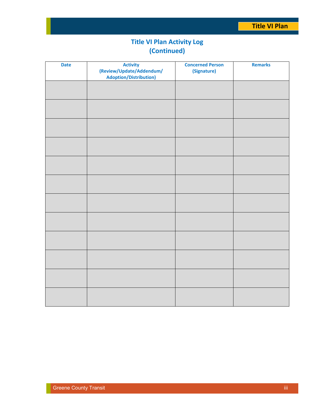## **Title VI Plan Activity Log (Continued)**

| <b>Date</b> | <b>Activity</b><br>(Review/Update/Addendum/<br><b>Adoption/Distribution)</b> | <b>Concerned Person</b><br>(Signature) | <b>Remarks</b> |
|-------------|------------------------------------------------------------------------------|----------------------------------------|----------------|
|             |                                                                              |                                        |                |
|             |                                                                              |                                        |                |
|             |                                                                              |                                        |                |
|             |                                                                              |                                        |                |
|             |                                                                              |                                        |                |
|             |                                                                              |                                        |                |
|             |                                                                              |                                        |                |
|             |                                                                              |                                        |                |
|             |                                                                              |                                        |                |
|             |                                                                              |                                        |                |
|             |                                                                              |                                        |                |
|             |                                                                              |                                        |                |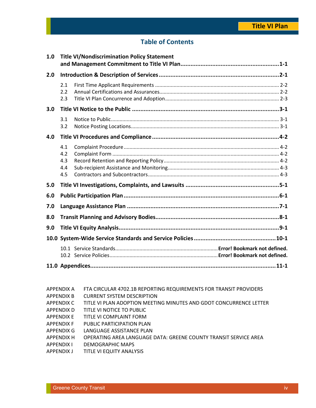## **Table of Contents**

| 1.0 |                                 | <b>Title VI/Nondiscrimination Policy Statement</b> |
|-----|---------------------------------|----------------------------------------------------|
| 2.0 |                                 |                                                    |
|     | 2.1<br>2.2<br>2.3               |                                                    |
| 3.0 |                                 |                                                    |
|     | 3.1<br>3.2                      |                                                    |
| 4.0 |                                 |                                                    |
|     | 4.1<br>4.2<br>4.3<br>4.4<br>4.5 |                                                    |
| 5.0 |                                 |                                                    |
| 6.0 |                                 |                                                    |
| 7.0 |                                 |                                                    |
| 8.0 |                                 |                                                    |
| 9.0 |                                 |                                                    |
|     |                                 |                                                    |
|     |                                 |                                                    |
|     |                                 |                                                    |

- APPENDIX A FTA CIRCULAR 4702.1B REPORTING REQUIREMENTS FOR TRANSIT PROVIDERS
- APPENDIX B CURRENT SYSTEM DESCRIPTION
- APPENDIX C TITLE VI PLAN ADOPTION MEETING MINUTES AND GDOT CONCURRENCE LETTER
- APPENDIX D TITLE VI NOTICE TO PUBLIC
- APPENDIX E TITLE VI COMPLAINT FORM
- APPENDIX F PUBLIC PARTICIPATION PLAN
- APPENDIX G LANGUAGE ASSISTANCE PLAN
- APPENDIX H OPERATING AREA LANGUAGE DATA: GREENE COUNTY TRANSIT SERVICE AREA
- APPENDIX I DEMOGRAPHIC MAPS
- APPENDIX J TITLE VI EQUITY ANALYSIS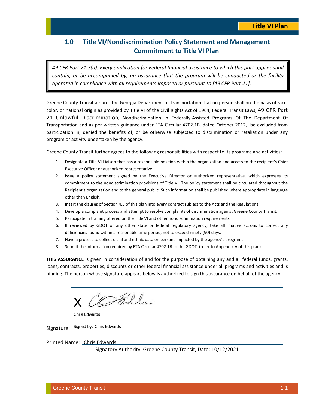## **1.0 Title VI/Nondiscrimination Policy Statement and Management Commitment to Title VI Plan**

*49 CFR Part 21.7(a): Every application for Federal financial assistance to which this part applies shall contain, or be accompanied by, an assurance that the program will be conducted or the facility operated in compliance with all requirements imposed or pursuant to [49 CFR Part 21].* 

Greene County Transit assures the Georgia Department of Transportation that no person shall on the basis of race, color, or national origin as provided by Title VI of the Civil Rights Act of 1964, Federal Transit Laws, 49 CFR Part 21 Unlawful Discrimination, Nondiscrimination In Federally-Assisted Programs Of The Department Of Transportation and as per written guidance under FTA Circular 4702.1B, dated October 2012, be excluded from participation in, denied the benefits of, or be otherwise subjected to discrimination or retaliation under any program or activity undertaken by the agency.

Greene County Transit further agrees to the following responsibilities with respect to its programs and activities:

- 1. Designate a Title VI Liaison that has a responsible position within the organization and access to the recipient's Chief Executive Officer or authorized representative.
- 2. Issue a policy statement signed by the Executive Director or authorized representative, which expresses its commitment to the nondiscrimination provisions of Title VI. The policy statement shall be circulated throughout the Recipient's organization and to the general public. Such information shall be published where appropriate in language other than English.
- 3. Insert the clauses of Section 4.5 of this plan into every contract subject to the Acts and the Regulations.
- 4. Develop a complaint process and attempt to resolve complaints of discrimination against Greene County Transit.
- 5. Participate in training offered on the Title VI and other nondiscrimination requirements.
- 6. If reviewed by GDOT or any other state or federal regulatory agency, take affirmative actions to correct any deficiencies found within a reasonable time period, not to exceed ninety (90) days.
- 7. Have a process to collect racial and ethnic data on persons impacted by the agency's programs.
- 8. Submit the information required by FTA Circular 4702.1B to the GDOT. (refer to Appendix A of this plan)

**THIS ASSURANCE** is given in consideration of and for the purpose of obtaining any and all federal funds, grants, loans, contracts, properties, discounts or other federal financial assistance under all programs and activities and is binding. The person whose signature appears below is authorized to sign this assurance on behalf of the agency.

Skill X

Chris Edwards

Signature: Signed by: Chris Edwards

Printed Name: Chris Edwards

Signatory Authority, Greene County Transit, Date: 10/12/2021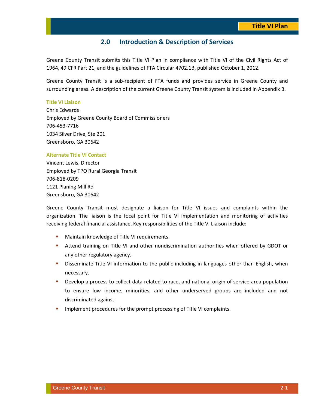### **2.0 Introduction & Description of Services**

Greene County Transit submits this Title VI Plan in compliance with Title VI of the Civil Rights Act of 1964, 49 CFR Part 21, and the guidelines of FTA Circular 4702.1B, published October 1, 2012.

Greene County Transit is a sub-recipient of FTA funds and provides service in Greene County and surrounding areas. A description of the current Greene County Transit system is included in Appendix B.

#### **Title VI Liaison**

Chris Edwards Employed by Greene County Board of Commissioners 706-453-7716 1034 Silver Drive, Ste 201 Greensboro, GA 30642

#### **Alternate Title VI Contact**

Vincent Lewis, Director Employed by TPO Rural Georgia Transit 706-818-0209 1121 Planing Mill Rd Greensboro, GA 30642

Greene County Transit must designate a liaison for Title VI issues and complaints within the organization. The liaison is the focal point for Title VI implementation and monitoring of activities receiving federal financial assistance. Key responsibilities of the Title VI Liaison include:

- **Maintain knowledge of Title VI requirements.**
- Attend training on Title VI and other nondiscrimination authorities when offered by GDOT or any other regulatory agency.
- **•** Disseminate Title VI information to the public including in languages other than English, when necessary.
- **•** Develop a process to collect data related to race, and national origin of service area population to ensure low income, minorities, and other underserved groups are included and not discriminated against.
- **IMPLEMENT IMPLEMENT INCOCOUTES FOR THE PROPERTY IMPLEMENT IMPLY** COMPLAINTS.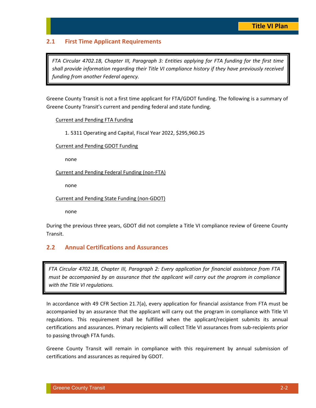### **2.1 First Time Applicant Requirements**

*FTA Circular 4702.1B, Chapter III, Paragraph 3: Entities applying for FTA funding for the first time shall provide information regarding their Title VI compliance history if they have previously received funding from another Federal agency.* 

Greene County Transit is not a first time applicant for FTA/GDOT funding. The following is a summary of Greene County Transit's current and pending federal and state funding.

Current and Pending FTA Funding

1. 5311 Operating and Capital, Fiscal Year 2022, \$295,960.25

Current and Pending GDOT Funding

none

Current and Pending Federal Funding (non-FTA)

none

Current and Pending State Funding (non-GDOT)

none

During the previous three years, GDOT did not complete a Title VI compliance review of Greene County Transit.

### **2.2 Annual Certifications and Assurances**

*FTA Circular 4702.1B, Chapter III, Paragraph 2: Every application for financial assistance from FTA must be accompanied by an assurance that the applicant will carry out the program in compliance with the Title VI regulations.* 

In accordance with 49 CFR Section 21.7(a), every application for financial assistance from FTA must be accompanied by an assurance that the applicant will carry out the program in compliance with Title VI regulations. This requirement shall be fulfilled when the applicant/recipient submits its annual certifications and assurances. Primary recipients will collect Title VI assurances from sub-recipients prior to passing through FTA funds.

Greene County Transit will remain in compliance with this requirement by annual submission of certifications and assurances as required by GDOT.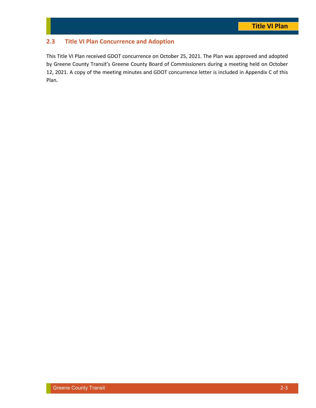## **2.3 Title VI Plan Concurrence and Adoption**

This Title VI Plan received GDOT concurrence on October 25, 2021. The Plan was approved and adopted by Greene County Transit's Greene County Board of Commissioners during a meeting held on October 12, 2021. A copy of the meeting minutes and GDOT concurrence letter is included in Appendix C of this Plan.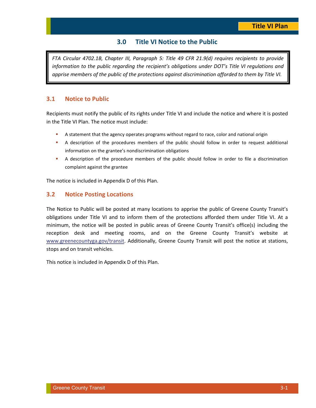## **3.0 Title VI Notice to the Public**

*FTA Circular 4702.1B, Chapter III, Paragraph 5: Title 49 CFR 21.9(d) requires recipients to provide information to the public regarding the recipient's obligations under DOT's Title VI regulations and apprise members of the public of the protections against discrimination afforded to them by Title VI.* 

#### **3.1 Notice to Public**

Recipients must notify the public of its rights under Title VI and include the notice and where it is posted in the Title VI Plan. The notice must include:

- A statement that the agency operates programs without regard to race, color and national origin
- A description of the procedures members of the public should follow in order to request additional information on the grantee's nondiscrimination obligations
- A description of the procedure members of the public should follow in order to file a discrimination complaint against the grantee

The notice is included in Appendix D of this Plan.

#### **3.2 Notice Posting Locations**

The Notice to Public will be posted at many locations to apprise the public of Greene County Transit's obligations under Title VI and to inform them of the protections afforded them under Title VI. At a minimum, the notice will be posted in public areas of Greene County Transit's office(s) including the reception desk and meeting rooms, and on the Greene County Transit's website at www.greenecountyga.gov/transit. Additionally, Greene County Transit will post the notice at stations, stops and on transit vehicles.

This notice is included in Appendix D of this Plan.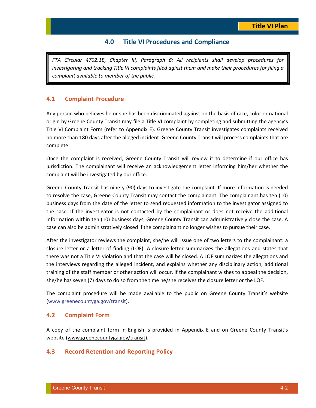### **4.0 Title VI Procedures and Compliance**

*FTA Circular 4702.1B, Chapter III, Paragraph 6: All recipients shall develop procedures for investigating and tracking Title VI complaints filed aginst them and make their procedures for filing a complaint available to member of the public.* 

#### **4.1 Complaint Procedure**

Any person who believes he or she has been discriminated against on the basis of race, color or national origin by Greene County Transit may file a Title VI complaint by completing and submitting the agency's Title VI Complaint Form (refer to Appendix E). Greene County Transit investigates complaints received no more than 180 days after the alleged incident. Greene County Transit will process complaints that are complete.

Once the complaint is received, Greene County Transit will review it to determine if our office has jurisdiction. The complainant will receive an acknowledgement letter informing him/her whether the complaint will be investigated by our office.

Greene County Transit has ninety (90) days to investigate the complaint. If more information is needed to resolve the case, Greene County Transit may contact the complainant. The complainant has ten (10) business days from the date of the letter to send requested information to the investigator assigned to the case. If the investigator is not contacted by the complainant or does not receive the additional information within ten (10) business days, Greene County Transit can administratively close the case. A case can also be administratively closed if the complainant no longer wishes to pursue their case.

After the investigator reviews the complaint, she/he will issue one of two letters to the complainant: a closure letter or a letter of finding (LOF). A closure letter summarizes the allegations and states that there was not a Title VI violation and that the case will be closed. A LOF summarizes the allegations and the interviews regarding the alleged incident, and explains whether any disciplinary action, additional training of the staff member or other action will occur. If the complainant wishes to appeal the decision, she/he has seven (7) days to do so from the time he/she receives the closure letter or the LOF.

The complaint procedure will be made available to the public on Greene County Transit's website (www.greenecountyga.gov/transit).

#### **4.2 Complaint Form**

A copy of the complaint form in English is provided in Appendix E and on Greene County Transit's website (www.greenecountyga.gov/transit).

#### **4.3 Record Retention and Reporting Policy**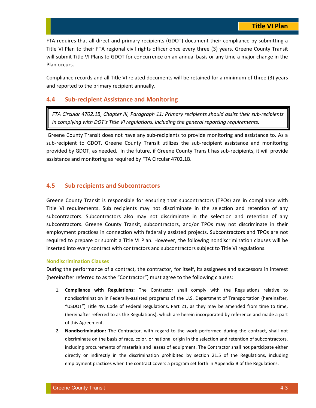FTA requires that all direct and primary recipients (GDOT) document their compliance by submitting a Title VI Plan to their FTA regional civil rights officer once every three (3) years. Greene County Transit will submit Title VI Plans to GDOT for concurrence on an annual basis or any time a major change in the Plan occurs.

Compliance records and all Title VI related documents will be retained for a minimum of three (3) years and reported to the primary recipient annually.

#### **4.4 Sub-recipient Assistance and Monitoring**

*FTA Circular 4702.1B, Chapter III, Paragraph 11: Primary recipients should assist their sub-recipients in complying with DOT's Title VI regulations, including the general reporting requirements.* 

 Greene County Transit does not have any sub-recipients to provide monitoring and assistance to. As a sub-recipient to GDOT, Greene County Transit utilizes the sub-recipient assistance and monitoring provided by GDOT, as needed. In the future, if Greene County Transit has sub-recipients, it will provide assistance and monitoring as required by FTA Circular 4702.1B.

#### **4.5 Sub recipients and Subcontractors**

Greene County Transit is responsible for ensuring that subcontractors (TPOs) are in compliance with Title VI requirements. Sub recipients may not discriminate in the selection and retention of any subcontractors. Subcontractors also may not discriminate in the selection and retention of any subcontractors. Greene County Transit, subcontractors, and/or TPOs may not discriminate in their employment practices in connection with federally assisted projects. Subcontractors and TPOs are not required to prepare or submit a Title VI Plan. However, the following nondiscrimination clauses will be inserted into every contract with contractors and subcontractors subject to Title VI regulations.

#### **Nondiscrimination Clauses**

During the performance of a contract, the contractor, for itself, its assignees and successors in interest (hereinafter referred to as the "Contractor") must agree to the following clauses:

- 1. **Compliance with Regulations:** The Contractor shall comply with the Regulations relative to nondiscrimination in Federally-assisted programs of the U.S. Department of Transportation (hereinafter, "USDOT") Title 49, Code of Federal Regulations, Part 21, as they may be amended from time to time, (hereinafter referred to as the Regulations), which are herein incorporated by reference and made a part of this Agreement.
- 2. **Nondiscrimination:** The Contractor, with regard to the work performed during the contract, shall not discriminate on the basis of race, color, or national origin in the selection and retention of subcontractors, including procurements of materials and leases of equipment. The Contractor shall not participate either directly or indirectly in the discrimination prohibited by section 21.5 of the Regulations, including employment practices when the contract covers a program set forth in Appendix B of the Regulations.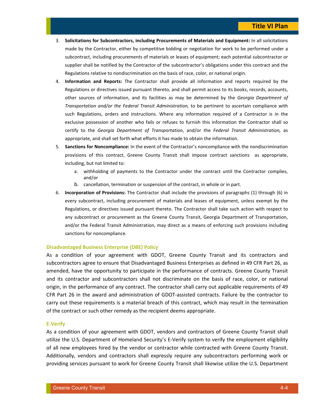- 3. **Solicitations for Subcontractors, including Procurements of Materials and Equipment:** In all solicitations made by the Contractor, either by competitive bidding or negotiation for work to be performed under a subcontract, including procurements of materials or leases of equipment; each potential subcontractor or supplier shall be notified by the Contractor of the subcontractor's obligations under this contract and the Regulations relative to nondiscrimination on the basis of race, color, or national origin.
- 4. **Information and Reports:** The Contractor shall provide all information and reports required by the Regulations or directives issued pursuant thereto, and shall permit access to its books, records, accounts, other sources of information, and its facilities as may be determined by the *Georgia Department of Transportation and/or the Federal Transit Administration,* to be pertinent to ascertain compliance with such Regulations, orders and instructions. Where any information required of a Contractor is in the exclusive possession of another who fails or refuses to furnish this information the Contractor shall so certify to the *Georgia Department of Transportation*, and/or the *Federal Transit Administration,* as appropriate, and shall set forth what efforts it has made to obtain the information.
- 5. **Sanctions for Noncompliance:** In the event of the Contractor's noncompliance with the nondiscrimination provisions of this contract, Greene County Transit shall impose contract sanctions as appropriate, including, but not limited to:
	- a. withholding of payments to the Contractor under the contract until the Contractor complies, and/or
	- b. cancellation, termination or suspension of the contract, in whole or in part.
- 6. **Incorporation of Provisions:** The Contractor shall include the provisions of paragraphs (1) through (6) in every subcontract, including procurement of materials and leases of equipment, unless exempt by the Regulations, or directives issued pursuant thereto. The Contractor shall take such action with respect to any subcontract or procurement as the Greene County Transit, Georgia Department of Transportation, and/or the Federal Transit Administration, may direct as a means of enforcing such provisions including sanctions for noncompliance.

#### **Disadvantaged Business Enterprise (DBE) Policy**

As a condition of your agreement with GDOT, Greene County Transit and its contractors and subcontractors agree to ensure that Disadvantaged Business Enterprises as defined in 49 CFR Part 26, as amended, have the opportunity to participate in the performance of contracts. Greene County Transit and its contractor and subcontractors shall not discriminate on the basis of race, color, or national origin, in the performance of any contract. The contractor shall carry out applicable requirements of 49 CFR Part 26 in the award and administration of GDOT-assisted contracts. Failure by the contractor to carry out these requirements is a material breach of this contract, which may result in the termination of the contract or such other remedy as the recipient deems appropriate.

#### **E-Verify**

As a condition of your agreement with GDOT, vendors and contractors of Greene County Transit shall utilize the U.S. Department of Homeland Security's E-Verify system to verify the employment eligibility of all new employees hired by the vendor or contractor while contracted with Greene County Transit. Additionally, vendors and contractors shall expressly require any subcontractors performing work or providing services pursuant to work for Greene County Transit shall likewise utilize the U.S. Department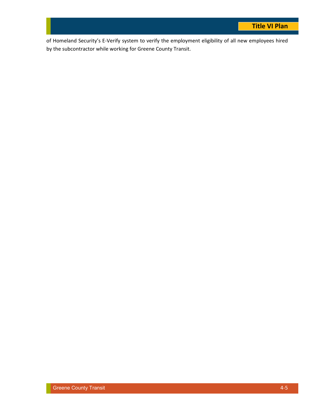of Homeland Security's E-Verify system to verify the employment eligibility of all new employees hired by the subcontractor while working for Greene County Transit.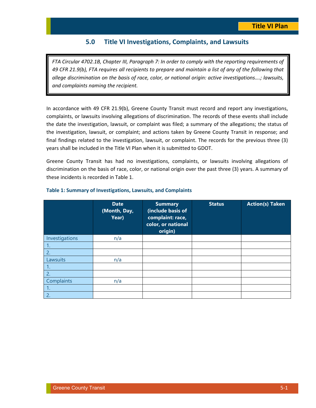### **5.0 Title VI Investigations, Complaints, and Lawsuits**

*FTA Circular 4702.1B, Chapter III, Paragraph 7: In order to comply with the reporting requirements of 49 CFR 21.9(b), FTA requires all recipients to prepare and maintain a list of any of the following that allege discrimination on the basis of race, color, or national origin: active investigations….; lawsuits, and complaints naming the recipient.* 

In accordance with 49 CFR 21.9(b), Greene County Transit must record and report any investigations, complaints, or lawsuits involving allegations of discrimination. The records of these events shall include the date the investigation, lawsuit, or complaint was filed; a summary of the allegations; the status of the investigation, lawsuit, or complaint; and actions taken by Greene County Transit in response; and final findings related to the investigation, lawsuit, or complaint. The records for the previous three (3) years shall be included in the Title VI Plan when it is submitted to GDOT.

Greene County Transit has had no investigations, complaints, or lawsuits involving allegations of discrimination on the basis of race, color, or national origin over the past three (3) years. A summary of these incidents is recorded in Table 1.

|                | <b>Date</b><br>(Month, Day,<br>Year) | <b>Summary</b><br>(include basis of<br>complaint: race,<br>color, or national<br>origin) | <b>Status</b> | <b>Action(s) Taken</b> |
|----------------|--------------------------------------|------------------------------------------------------------------------------------------|---------------|------------------------|
| Investigations | n/a                                  |                                                                                          |               |                        |
| 1.             |                                      |                                                                                          |               |                        |
| 2.             |                                      |                                                                                          |               |                        |
| Lawsuits       | n/a                                  |                                                                                          |               |                        |
| 1.             |                                      |                                                                                          |               |                        |
| 2.             |                                      |                                                                                          |               |                        |
| Complaints     | n/a                                  |                                                                                          |               |                        |
| 1.             |                                      |                                                                                          |               |                        |
| 2.             |                                      |                                                                                          |               |                        |

#### **Table 1: Summary of Investigations, Lawsuits, and Complaints**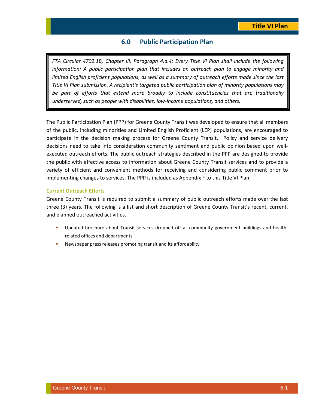### **6.0 Public Participation Plan**

*FTA Circular 4702.1B, Chapter III, Paragraph 4.a.4: Every Title VI Plan shall include the following information: A public participation plan that includes an outreach plan to engage minority and limited English proficient populations, as well as a summary of outreach efforts made since the last Title VI Plan submission. A recipient's targeted public participation plan of minority populations may be part of efforts that extend more broadly to include constituencies that are traditionally underserved, such as people with disabilities, low-income populations, and others.* 

The Public Participation Plan (PPP) for Greene County Transit was developed to ensure that all members of the public, including minorities and Limited English Proficient (LEP) populations, are encouraged to participate in the decision making process for Greene County Transit. Policy and service delivery decisions need to take into consideration community sentiment and public opinion based upon wellexecuted outreach efforts. The public outreach strategies described in the PPP are designed to provide the public with effective access to information about Greene County Transit services and to provide a variety of efficient and convenient methods for receiving and considering public comment prior to implementing changes to services. The PPP is included as Appendix F to this Title VI Plan.

#### **Current Outreach Efforts**

Greene County Transit is required to submit a summary of public outreach efforts made over the last three (3) years. The following is a list and short description of Greene County Transit's recent, current, and planned outreached activities.

- Updated brochure about Transit services dropped off at community government buildings and healthrelated offices and departments
- Newspaper press releases promoting transit and its affordability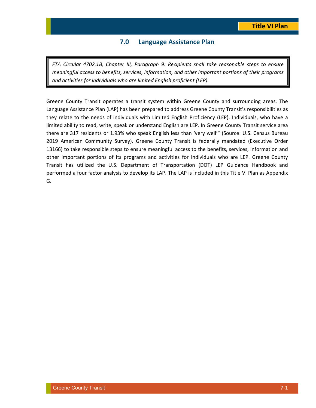### **7.0 Language Assistance Plan**

*FTA Circular 4702.1B, Chapter III, Paragraph 9: Recipients shall take reasonable steps to ensure meaningful access to benefits, services, information, and other important portions of their programs and activities for individuals who are limited English proficient (LEP).* 

Greene County Transit operates a transit system within Greene County and surrounding areas. The Language Assistance Plan (LAP) has been prepared to address Greene County Transit's responsibilities as they relate to the needs of individuals with Limited English Proficiency (LEP). Individuals, who have a limited ability to read, write, speak or understand English are LEP. In Greene County Transit service area there are 317 residents or 1.93% who speak English less than 'very well'" (Source: U.S. Census Bureau 2019 American Community Survey). Greene County Transit is federally mandated (Executive Order 13166) to take responsible steps to ensure meaningful access to the benefits, services, information and other important portions of its programs and activities for individuals who are LEP. Greene County Transit has utilized the U.S. Department of Transportation (DOT) LEP Guidance Handbook and performed a four factor analysis to develop its LAP. The LAP is included in this Title VI Plan as Appendix G.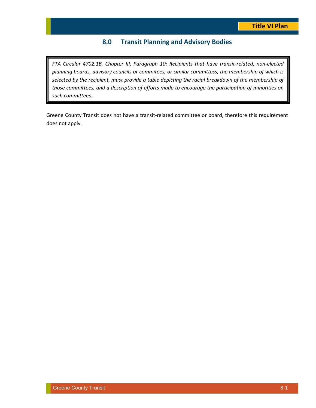## **8.0 Transit Planning and Advisory Bodies**

*FTA Circular 4702.1B, Chapter III, Paragraph 10: Recipients that have transit-related, non-elected planning boards, advisory councils or commitees, or similar committess, the membership of which is selected by the recipient, must provide a table depicting the racial breakdown of the membership of those committees, and a description of efforts made to encourage the participation of minorities on such committees.* 

Greene County Transit does not have a transit-related committee or board, therefore this requirement does not apply.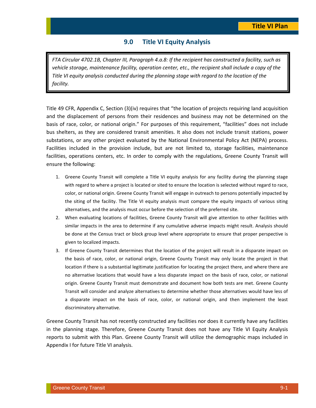### **9.0 Title VI Equity Analysis**

*FTA Circular 4702.1B, Chapter III, Paragraph 4.a.8: If the recipient has constructed a facility, such as vehicle storage, maintenance facility, operation center, etc., the recipient shall include a copy of the Title VI equity analysis conducted during the planning stage with regard to the location of the facility.* 

Title 49 CFR, Appendix C, Section (3)(iv) requires that "the location of projects requiring land acquisition and the displacement of persons from their residences and business may not be determined on the basis of race, color, or national origin." For purposes of this requirement, "facilities" does not include bus shelters, as they are considered transit amenities. It also does not include transit stations, power substations, or any other project evaluated by the National Environmental Policy Act (NEPA) process. Facilities included in the provision include, but are not limited to, storage facilities, maintenance facilities, operations centers, etc. In order to comply with the regulations, Greene County Transit will ensure the following:

- 1. Greene County Transit will complete a Title VI equity analysis for any facility during the planning stage with regard to where a project is located or sited to ensure the location is selected without regard to race, color, or national origin. Greene County Transit will engage in outreach to persons potentially impacted by the siting of the facility. The Title VI equity analysis must compare the equity impacts of various siting alternatives, and the analysis must occur before the selection of the preferred site.
- 2. When evaluating locations of facilities, Greene County Transit will give attention to other facilities with similar impacts in the area to determine if any cumulative adverse impacts might result. Analysis should be done at the Census tract or block group level where appropriate to ensure that proper perspective is given to localized impacts.
- 3. If Greene County Transit determines that the location of the project will result in a disparate impact on the basis of race, color, or national origin, Greene County Transit may only locate the project in that location if there is a substantial legitimate justification for locating the project there, and where there are no alternative locations that would have a less disparate impact on the basis of race, color, or national origin. Greene County Transit must demonstrate and document how both tests are met. Greene County Transit will consider and analyze alternatives to determine whether those alternatives would have less of a disparate impact on the basis of race, color, or national origin, and then implement the least discriminatory alternative.

Greene County Transit has not recently constructed any facilities nor does it currently have any facilities in the planning stage. Therefore, Greene County Transit does not have any Title VI Equity Analysis reports to submit with this Plan. Greene County Transit will utilize the demographic maps included in Appendix I for future Title VI analysis.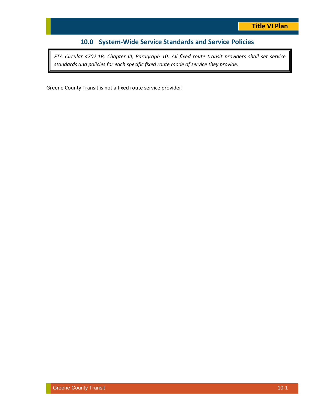## **10.0 System-Wide Service Standards and Service Policies**

*FTA Circular 4702.1B, Chapter III, Paragraph 10: All fixed route transit providers shall set service standards and policies for each specific fixed route mode of service they provide.* 

Greene County Transit is not a fixed route service provider.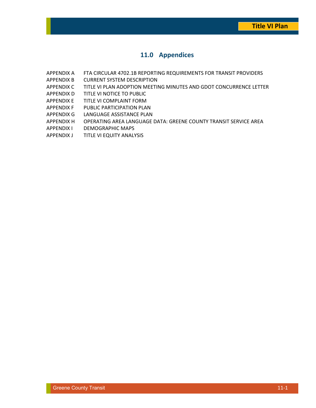## **11.0 Appendices**

- APPENDIX A FTA CIRCULAR 4702.1B REPORTING REQUIREMENTS FOR TRANSIT PROVIDERS
- APPENDIX B CURRENT SYSTEM DESCRIPTION
- APPENDIX C TITLE VI PLAN ADOPTION MEETING MINUTES AND GDOT CONCURRENCE LETTER
- APPENDIX D TITLE VI NOTICE TO PUBLIC
- APPENDIX E TITLE VI COMPLAINT FORM
- APPENDIX F PUBLIC PARTICIPATION PLAN
- APPENDIX G LANGUAGE ASSISTANCE PLAN
- APPENDIX H OPERATING AREA LANGUAGE DATA: GREENE COUNTY TRANSIT SERVICE AREA
- APPENDIX I DEMOGRAPHIC MAPS
- APPENDIX J TITLE VI EQUITY ANALYSIS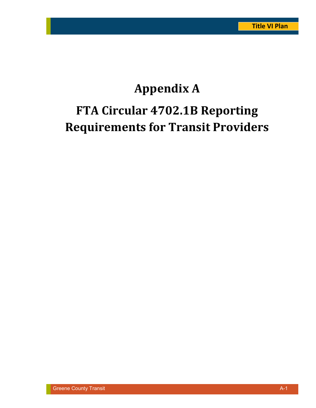# **Appendix A FTA Circular 4702.1B Reporting Requirements for Transit Providers**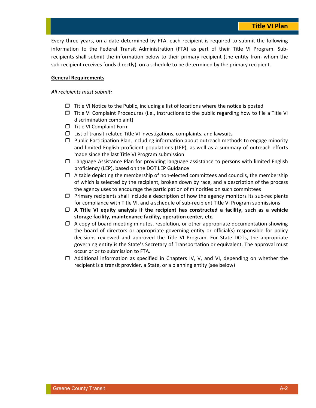Every three years, on a date determined by FTA, each recipient is required to submit the following information to the Federal Transit Administration (FTA) as part of their Title VI Program. Subrecipients shall submit the information below to their primary recipient (the entity from whom the sub-recipient receives funds directly), on a schedule to be determined by the primary recipient.

#### **General Requirements**

#### *All recipients must submit:*

- □ Title VI Notice to the Public, including a list of locations where the notice is posted
- □ Title VI Complaint Procedures (i.e., instructions to the public regarding how to file a Title VI discrimination complaint)
- **T** Title VI Complaint Form
- □ List of transit-related Title VI investigations, complaints, and lawsuits
- □ Public Participation Plan, including information about outreach methods to engage minority and limited English proficient populations (LEP), as well as a summary of outreach efforts made since the last Title VI Program submission
- □ Language Assistance Plan for providing language assistance to persons with limited English proficiency (LEP), based on the DOT LEP Guidance
- $\Box$  A table depicting the membership of non-elected committees and councils, the membership of which is selected by the recipient, broken down by race, and a description of the process the agency uses to encourage the participation of minorities on such committees
- □ Primary recipients shall include a description of how the agency monitors its sub-recipients for compliance with Title VI, and a schedule of sub-recipient Title VI Program submissions
- **A Title VI equity analysis if the recipient has constructed a facility, such as a vehicle storage facility, maintenance facility, operation center, etc.**
- A copy of board meeting minutes, resolution, or other appropriate documentation showing the board of directors or appropriate governing entity or official(s) responsible for policy decisions reviewed and approved the Title VI Program. For State DOTs, the appropriate governing entity is the State's Secretary of Transportation or equivalent. The approval must occur prior to submission to FTA.
- Additional information as specified in Chapters IV, V, and VI, depending on whether the recipient is a transit provider, a State, or a planning entity (see below)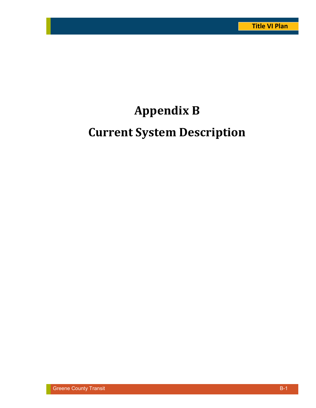## **Appendix B**

## **Current System Description**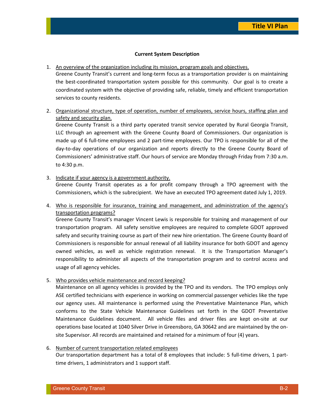#### **Current System Description**

1. An overview of the organization including its mission, program goals and objectives.

Greene County Transit's current and long-term focus as a transportation provider is on maintaining the best-coordinated transportation system possible for this community. Our goal is to create a coordinated system with the objective of providing safe, reliable, timely and efficient transportation services to county residents.

2. Organizational structure, type of operation, number of employees, service hours, staffing plan and safety and security plan.

Greene County Transit is a third party operated transit service operated by Rural Georgia Transit, LLC through an agreement with the Greene County Board of Commissioners. Our organization is made up of 6 full-time employees and 2 part-time employees. Our TPO is responsible for all of the day-to-day operations of our organization and reports directly to the Greene County Board of Commissioners' administrative staff. Our hours of service are Monday through Friday from 7:30 a.m. to 4:30 p.m.

3. Indicate if your agency is a government authority.

Greene County Transit operates as a for profit company through a TPO agreement with the Commissioners, which is the subrecipient. We have an executed TPO agreement dated July 1, 2019.

4. Who is responsible for insurance, training and management, and administration of the agency's transportation programs?

Greene County Transit's manager Vincent Lewis is responsible for training and management of our transportation program. All safety sensitive employees are required to complete GDOT approved safety and security training course as part of their new hire orientation. The Greene County Board of Commissioners is responsible for annual renewal of all liability insurance for both GDOT and agency owned vehicles, as well as vehicle registration renewal. It is the Transportation Manager's responsibility to administer all aspects of the transportation program and to control access and usage of all agency vehicles.

5. Who provides vehicle maintenance and record keeping?

Maintenance on all agency vehicles is provided by the TPO and its vendors. The TPO employs only ASE certified technicians with experience in working on commercial passenger vehicles like the type our agency uses. All maintenance is performed using the Preventative Maintenance Plan, which conforms to the State Vehicle Maintenance Guidelines set forth in the GDOT Preventative Maintenance Guidelines document. All vehicle files and driver files are kept on-site at our operations base located at 1040 Silver Drive in Greensboro, GA 30642 and are maintained by the onsite Supervisor. All records are maintained and retained for a minimum of four (4) years.

#### 6. Number of current transportation related employees

Our transportation department has a total of 8 employees that include: 5 full-time drivers, 1 parttime drivers, 1 administrators and 1 support staff.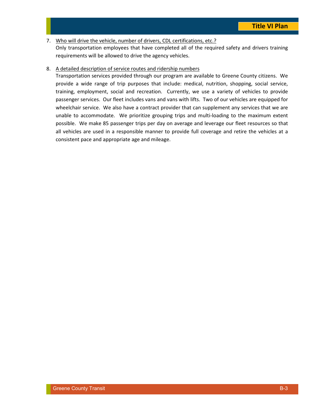7. Who will drive the vehicle, number of drivers, CDL certifications, etc.? Only transportation employees that have completed all of the required safety and drivers training requirements will be allowed to drive the agency vehicles.

#### 8. A detailed description of service routes and ridership numbers

Transportation services provided through our program are available to Greene County citizens. We provide a wide range of trip purposes that include: medical, nutrition, shopping, social service, training, employment, social and recreation. Currently, we use a variety of vehicles to provide passenger services. Our fleet includes vans and vans with lifts. Two of our vehicles are equipped for wheelchair service. We also have a contract provider that can supplement any services that we are unable to accommodate. We prioritize grouping trips and multi-loading to the maximum extent possible. We make 85 passenger trips per day on average and leverage our fleet resources so that all vehicles are used in a responsible manner to provide full coverage and retire the vehicles at a consistent pace and appropriate age and mileage.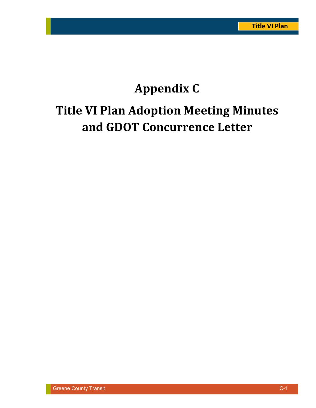# **Appendix C Title VI Plan Adoption Meeting Minutes and GDOT Concurrence Letter**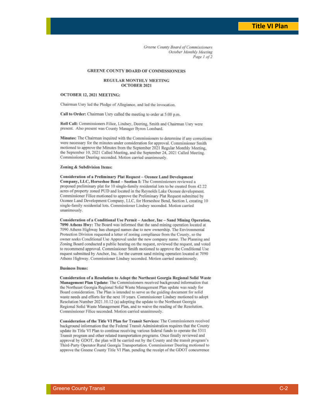Greene County Board of Commissioners October Monthly Meeting Page 1 of 2

#### **GREENE COUNTY BOARD OF COMMISSIONERS**

#### **REGULAR MONTHLY MEETING OCTOBER 2021**

#### OCTOBER 12, 2021 MEETING:

Chairman Usry led the Pledge of Allegiance, and led the invocation.

Call to Order: Chairman Usry called the meeting to order at 5:00 p.m.

Roll Call: Commissioners Filice, Lindsey, Deering, Smith and Chairman Usry were present. Also present was County Manager Byron Lombard.

Minutes: The Chairman inquired with the Commissioners to determine if any corrections were necessary for the minutes under consideration for approval. Commissioner Smith motioned to approve the Minutes from the September 2021 Regular Monthly Meeting, the September 10, 2021 Called Meeting, and the September 24, 2021 Called Meeting. Commissioner Deering seconded. Motion carried unanimously.

#### Zoning & Subdivision Items:

Consideration of a Preliminary Plat Request - Oconee Land Development Company, LLC, Horseshoe Bend - Section I: The Commissioners reviewed a proposed preliminary plat for 10 single-family residential lots to be created from 42.22 acres of property zoned PUD and located in the Revnolds Lake Oconee development. Commissioner Filice motioned to approve the Preliminary Plat Request submitted by Oconee Land Development Company, LLC, for Horseshoe Bend, Section I, creating 10 single-family residential lots. Commissioner Lindsey seconded. Motion carried unanimously.

Consideration of a Conditional Use Permit-Anchor, Inc-Sand Mining Operation, 7090 Athens Hwy: The Board was informed that the sand mining operation located at 7090 Athens Highway has changed names due to new ownership. The Environmental Protection Division requested a letter of zoning compliance from the County, so the owner seeks Conditional Use Approval under the new company name. The Planning and Zoning Board conducted a public hearing on the request, reviewed the request, and voted to recommend approval. Commissioner Smith motioned to approve the Conditional Use request submitted by Anchor, Inc. for the current sand mining operation located at 7090 Athens Highway. Commissioner Lindsey seconded. Motion carried unanimously.

#### **Business Items:**

Consideration of a Resolution to Adopt the Northeast Georgia Regional Solid Waste Management Plan Update: The Commissioners received background information that the Northeast Georgia Regional Solid Waste Management Plan update was ready for Board consideration. The Plan is intended to serve as the guiding document for solid waste needs and efforts for the next 10 years. Commissioner Lindsey motioned to adopt Resolution Number 2021.10.12 (a) adopting the update to the Northeast Georgia Regional Solid Waste Management Plan, and to waive the reading of the Resolution. Commissioner Filice seconded. Motion carried unanimously.

Consideration of the Title VI Plan for Transit Services: The Commissioners received background information that the Federal Transit Administration requires that the County update its Title VI Plan to continue receiving various federal funds to operate the 5311 Transit program and other related transportation programs. Once finally reviewed and approval by GDOT, the plan will be carried out by the County and the transit program's Third-Party Operator Rural Georgia Transportation. Commissioner Deering motioned to approve the Greene County Title VI Plan, pending the receipt of the GDOT concurrence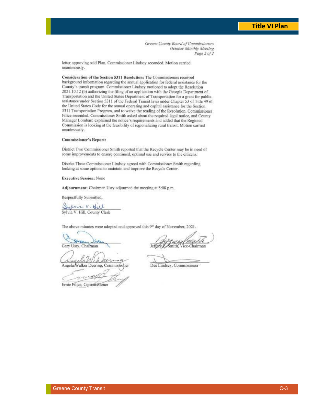Greene County Board of Commissioners October Monthly Meeting Page 2 of 2

letter approving said Plan. Commissioner Lindsey seconded. Motion carried unanimously.

Consideration of the Section 5311 Resolution: The Commissioners received background information regarding the annual application for federal assistance for the County's transit program. Commissioner Lindsey motioned to adopt the Resolution 2021.10.12 (b) authorizing the filing of an application with the Georgia Department of Transportation and the United States Department of Transportation for a grant for public assistance under Section 5311 of the Federal Transit laws under Chapter 53 of Title 49 of the United States Code for the annual operating and capital assistance for the Section 5311 Transportation Program, and to waive the reading of the Resolution. Commissioner Filice seconded. Commissioner Smith asked about the required legal notice, and County Manager Lombard explained the notice's requirements and added that the Regional Commission is looking at the feasibility of regionalizing rural transit. Motion carried unanimously.

#### **Commissioner's Report:**

District Two Commissioner Smith reported that the Recycle Center may be in need of some improvements to ensure continued, optimal use and service to the citizens.

District Three Commissioner Lindsey agreed with Commissioner Smith regarding looking at some options to maintain and improve the Recycle Center.

#### **Executive Session: None**

Adjournment: Chairman Usry adjourned the meeting at 5:08 p.m.

Respectfully Submitted,

Sylvie V. Hill<br>Sylvia V. Hill, County Clerk

The above minutes were adopted and approved this 9th day of November, 2021.

Gary Usry, Chairman

een Angela Walker Deering, Commissioner

Ernie Filice, Commissioner

ice-Chairman

Dee Lindsey, Commissioner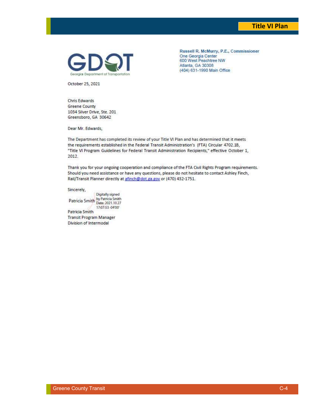#### **Title VI Plan**



Russell R. McMurry, P.E., Commissioner One Georgia Center 600 West Peachtree NW Atlanta, GA 30308 (404) 631-1990 Main Office

October 25, 2021

Chris Edwards **Greene County** 1034 Silver Drive, Ste. 201 Greensboro, GA 30642

Dear Mr. Edwards,

The Department has completed its review of your Title VI Plan and has determined that it meets the requirements established in the Federal Transit Administration's (FTA) Circular 4702.1B, "Title VI Program Guidelines for Federal Transit Administration Recipients," effective October 1, 2012.

Thank you for your ongoing cooperation and compliance of the FTA Civil Rights Program requirements. Should you need assistance or have any questions, please do not hesitate to contact Ashley Finch, Rail/Transit Planner directly at a finch@dot.ga.gov or (470) 432-1751.

Sincerely,

Digitally signed Patricia Smith by Patricia Smith 17:07:53 -04'00" Patricia Smith **Transit Program Manager** Division of Intermodal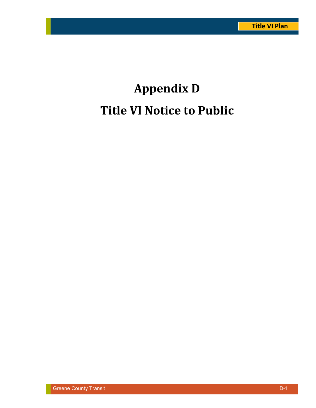# **Appendix D Title VI Notice to Public**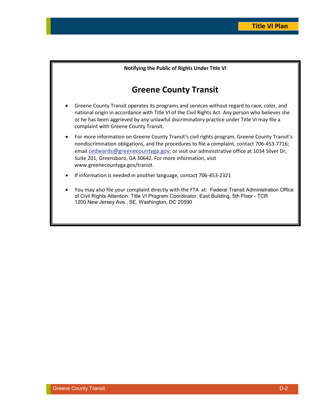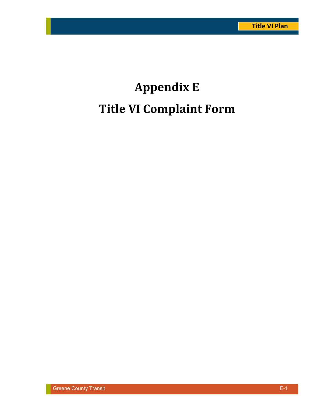# **Appendix E Title VI Complaint Form**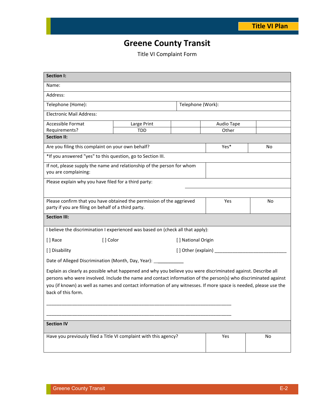## **Greene County Transit**

Title VI Complaint Form

| <b>Section I:</b>                                                                                                                                                                                                                                                                                                                                                          |                           |                   |       |    |
|----------------------------------------------------------------------------------------------------------------------------------------------------------------------------------------------------------------------------------------------------------------------------------------------------------------------------------------------------------------------------|---------------------------|-------------------|-------|----|
| Name:                                                                                                                                                                                                                                                                                                                                                                      |                           |                   |       |    |
| Address:                                                                                                                                                                                                                                                                                                                                                                   |                           |                   |       |    |
| Telephone (Home):                                                                                                                                                                                                                                                                                                                                                          |                           | Telephone (Work): |       |    |
| <b>Electronic Mail Address:</b>                                                                                                                                                                                                                                                                                                                                            |                           |                   |       |    |
| Accessible Format                                                                                                                                                                                                                                                                                                                                                          | Large Print<br>Audio Tape |                   |       |    |
| Requirements?                                                                                                                                                                                                                                                                                                                                                              | <b>TDD</b>                |                   | Other |    |
| <b>Section II:</b>                                                                                                                                                                                                                                                                                                                                                         |                           |                   |       |    |
| Are you filing this complaint on your own behalf?                                                                                                                                                                                                                                                                                                                          |                           |                   | Yes*  | No |
| *If you answered "yes" to this question, go to Section III.                                                                                                                                                                                                                                                                                                                |                           |                   |       |    |
| If not, please supply the name and relationship of the person for whom                                                                                                                                                                                                                                                                                                     |                           |                   |       |    |
| you are complaining:                                                                                                                                                                                                                                                                                                                                                       |                           |                   |       |    |
| Please explain why you have filed for a third party:                                                                                                                                                                                                                                                                                                                       |                           |                   |       |    |
|                                                                                                                                                                                                                                                                                                                                                                            |                           |                   |       |    |
| Please confirm that you have obtained the permission of the aggrieved                                                                                                                                                                                                                                                                                                      |                           |                   | Yes   | No |
| party if you are filing on behalf of a third party.                                                                                                                                                                                                                                                                                                                        |                           |                   |       |    |
| <b>Section III:</b>                                                                                                                                                                                                                                                                                                                                                        |                           |                   |       |    |
| I believe the discrimination I experienced was based on (check all that apply):                                                                                                                                                                                                                                                                                            |                           |                   |       |    |
| [ ] Race<br>[] Color<br>[] National Origin                                                                                                                                                                                                                                                                                                                                 |                           |                   |       |    |
| [] Disability                                                                                                                                                                                                                                                                                                                                                              |                           |                   |       |    |
| Date of Alleged Discrimination (Month, Day, Year): _____________                                                                                                                                                                                                                                                                                                           |                           |                   |       |    |
| Explain as clearly as possible what happened and why you believe you were discriminated against. Describe all<br>persons who were involved. Include the name and contact information of the person(s) who discriminated against<br>you (if known) as well as names and contact information of any witnesses. If more space is needed, please use the<br>back of this form. |                           |                   |       |    |
|                                                                                                                                                                                                                                                                                                                                                                            |                           |                   |       |    |
|                                                                                                                                                                                                                                                                                                                                                                            |                           |                   |       |    |
| <b>Section IV</b>                                                                                                                                                                                                                                                                                                                                                          |                           |                   |       |    |
| Have you previously filed a Title VI complaint with this agency?                                                                                                                                                                                                                                                                                                           |                           | Yes               | No    |    |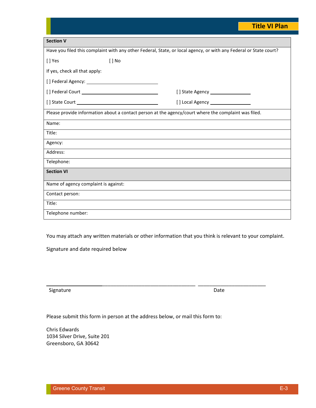### **Title VI Plan**

| <b>Section V</b>                                                                                                  |  |  |  |
|-------------------------------------------------------------------------------------------------------------------|--|--|--|
| Have you filed this complaint with any other Federal, State, or local agency, or with any Federal or State court? |  |  |  |
| [] No<br>[] Yes                                                                                                   |  |  |  |
| If yes, check all that apply:                                                                                     |  |  |  |
|                                                                                                                   |  |  |  |
|                                                                                                                   |  |  |  |
|                                                                                                                   |  |  |  |
| Please provide information about a contact person at the agency/court where the complaint was filed.              |  |  |  |
| Name:                                                                                                             |  |  |  |
| Title:                                                                                                            |  |  |  |
| Agency:                                                                                                           |  |  |  |
| Address:                                                                                                          |  |  |  |
| Telephone:                                                                                                        |  |  |  |
| <b>Section VI</b>                                                                                                 |  |  |  |
| Name of agency complaint is against:                                                                              |  |  |  |
| Contact person:                                                                                                   |  |  |  |
| Title:                                                                                                            |  |  |  |
| Telephone number:                                                                                                 |  |  |  |

You may attach any written materials or other information that you think is relevant to your complaint.

\_\_\_\_\_\_\_\_\_\_\_\_\_\_\_\_\_\_\_\_\_\_\_\_\_\_\_\_\_\_\_\_\_ \_\_\_\_\_\_\_\_\_\_\_\_\_\_\_\_\_\_\_\_\_\_\_\_

Signature and date required below

Signature Date

Please submit this form in person at the address below, or mail this form to:

Chris Edwards 1034 Silver Drive, Suite 201 Greensboro, GA 30642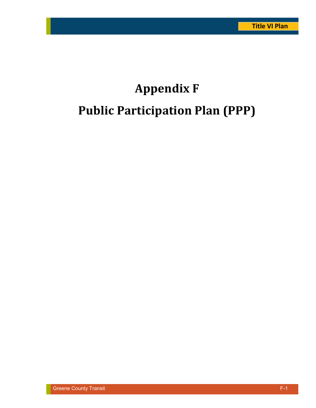# **Appendix F Public Participation Plan (PPP)**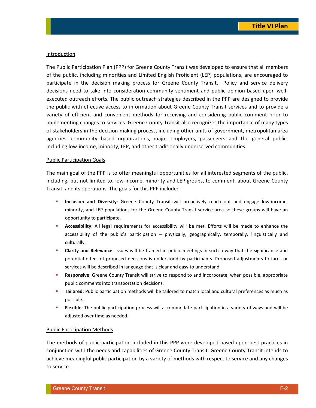#### Introduction

The Public Participation Plan (PPP) for Greene County Transit was developed to ensure that all members of the public, including minorities and Limited English Proficient (LEP) populations, are encouraged to participate in the decision making process for Greene County Transit. Policy and service delivery decisions need to take into consideration community sentiment and public opinion based upon wellexecuted outreach efforts. The public outreach strategies described in the PPP are designed to provide the public with effective access to information about Greene County Transit services and to provide a variety of efficient and convenient methods for receiving and considering public comment prior to implementing changes to services. Greene County Transit also recognizes the importance of many types of stakeholders in the decision-making process, including other units of government, metropolitan area agencies, community based organizations, major employers, passengers and the general public, including low-income, minority, LEP, and other traditionally underserved communities.

#### Public Participation Goals

The main goal of the PPP is to offer meaningful opportunities for all interested segments of the public, including, but not limited to, low-income, minority and LEP groups, to comment, about Greene County Transit and its operations. The goals for this PPP include:

- **Inclusion and Diversity**: Greene County Transit will proactively reach out and engage low-income, minority, and LEP populations for the Greene County Transit service area so these groups will have an opportunity to participate.
- **Accessibility**: All legal requirements for accessibility will be met. Efforts will be made to enhance the accessibility of the public's participation – physically, geographically, temporally, linguistically and culturally.
- **Clarity and Relevance**: Issues will be framed in public meetings in such a way that the significance and potential effect of proposed decisions is understood by participants. Proposed adjustments to fares or services will be described in language that is clear and easy to understand.
- **Responsive**: Greene County Transit will strive to respond to and incorporate, when possible, appropriate public comments into transportation decisions.
- **Tailored**: Public participation methods will be tailored to match local and cultural preferences as much as possible.
- **Flexible**: The public participation process will accommodate participation in a variety of ways and will be adjusted over time as needed.

#### Public Participation Methods

The methods of public participation included in this PPP were developed based upon best practices in conjunction with the needs and capabilities of Greene County Transit. Greene County Transit intends to achieve meaningful public participation by a variety of methods with respect to service and any changes to service.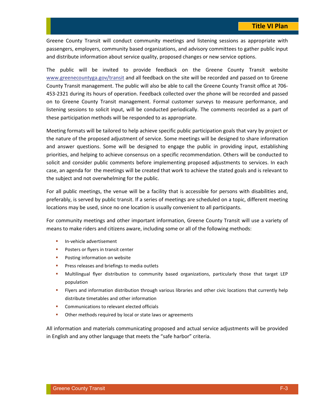Greene County Transit will conduct community meetings and listening sessions as appropriate with passengers, employers, community based organizations, and advisory committees to gather public input and distribute information about service quality, proposed changes or new service options.

The public will be invited to provide feedback on the Greene County Transit website www.greenecountyga.gov/transit and all feedback on the site will be recorded and passed on to Greene County Transit management. The public will also be able to call the Greene County Transit office at 706- 453-2321 during its hours of operation. Feedback collected over the phone will be recorded and passed on to Greene County Transit management. Formal customer surveys to measure performance, and listening sessions to solicit input, will be conducted periodically. The comments recorded as a part of these participation methods will be responded to as appropriate.

Meeting formats will be tailored to help achieve specific public participation goals that vary by project or the nature of the proposed adjustment of service. Some meetings will be designed to share information and answer questions. Some will be designed to engage the public in providing input, establishing priorities, and helping to achieve consensus on a specific recommendation. Others will be conducted to solicit and consider public comments before implementing proposed adjustments to services. In each case, an agenda for the meetings will be created that work to achieve the stated goals and is relevant to the subject and not overwhelming for the public.

For all public meetings, the venue will be a facility that is accessible for persons with disabilities and, preferably, is served by public transit. If a series of meetings are scheduled on a topic, different meeting locations may be used, since no one location is usually convenient to all participants.

For community meetings and other important information, Greene County Transit will use a variety of means to make riders and citizens aware, including some or all of the following methods:

- **In-vehicle advertisement**
- **Posters or flyers in transit center**
- **Posting information on website**
- **Press releases and briefings to media outlets**
- Multilingual flyer distribution to community based organizations, particularly those that target LEP population
- Flyers and information distribution through various libraries and other civic locations that currently help distribute timetables and other information
- **Communications to relevant elected officials**
- **•** Other methods required by local or state laws or agreements

All information and materials communicating proposed and actual service adjustments will be provided in English and any other language that meets the "safe harbor" criteria.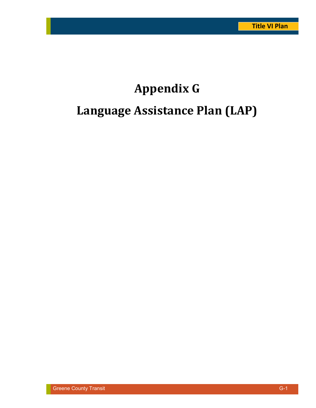# **Appendix G Language Assistance Plan (LAP)**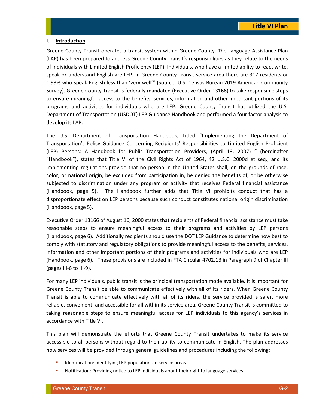#### **I. Introduction**

Greene County Transit operates a transit system within Greene County. The Language Assistance Plan (LAP) has been prepared to address Greene County Transit's responsibilities as they relate to the needs of individuals with Limited English Proficiency (LEP). Individuals, who have a limited ability to read, write, speak or understand English are LEP. In Greene County Transit service area there are 317 residents or 1.93% who speak English less than 'very well'" (Source: U.S. Census Bureau 2019 American Community Survey). Greene County Transit is federally mandated (Executive Order 13166) to take responsible steps to ensure meaningful access to the benefits, services, information and other important portions of its programs and activities for individuals who are LEP. Greene County Transit has utilized the U.S. Department of Transportation (USDOT) LEP Guidance Handbook and performed a four factor analysis to develop its LAP.

The U.S. Department of Transportation Handbook, titled "Implementing the Department of Transportation's Policy Guidance Concerning Recipients' Responsibilities to Limited English Proficient (LEP) Persons: A Handbook for Public Transportation Providers, (April 13, 2007) " (hereinafter "Handbook"), states that Title VI of the Civil Rights Act of 1964, 42 U.S.C. 2000d et seq., and its implementing regulations provide that no person in the United States shall, on the grounds of race, color, or national origin, be excluded from participation in, be denied the benefits of, or be otherwise subjected to discrimination under any program or activity that receives Federal financial assistance (Handbook, page 5). The Handbook further adds that Title VI prohibits conduct that has a disproportionate effect on LEP persons because such conduct constitutes national origin discrimination (Handbook, page 5).

Executive Order 13166 of August 16, 2000 states that recipients of Federal financial assistance must take reasonable steps to ensure meaningful access to their programs and activities by LEP persons (Handbook, page 6). Additionally recipients should use the DOT LEP Guidance to determine how best to comply with statutory and regulatory obligations to provide meaningful access to the benefits, services, information and other important portions of their programs and activities for individuals who are LEP (Handbook, page 6). These provisions are included in FTA Circular 4702.1B in Paragraph 9 of Chapter III (pages III-6 to III-9).

For many LEP individuals, public transit is the principal transportation mode available. It is important for Greene County Transit be able to communicate effectively with all of its riders. When Greene County Transit is able to communicate effectively with all of its riders, the service provided is safer, more reliable, convenient, and accessible for all within its service area. Greene County Transit is committed to taking reasonable steps to ensure meaningful access for LEP individuals to this agency's services in accordance with Title VI.

This plan will demonstrate the efforts that Greene County Transit undertakes to make its service accessible to all persons without regard to their ability to communicate in English. The plan addresses how services will be provided through general guidelines and procedures including the following:

- **Interact and Identifying LEP populations in service areas**
- Notification: Providing notice to LEP individuals about their right to language services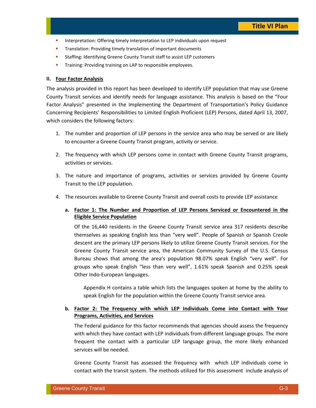- **Interpretation: Offering timely interpretation to LEP individuals upon request**
- **Translation: Providing timely translation of important documents**
- **EXECT:** Staffing: Identifying Greene County Transit staff to assist LEP customers
- **Training: Providing training on LAP to responsible employees.**

#### **II. Four Factor Analysis**

The analysis provided in this report has been developed to identify LEP population that may use Greene County Transit services and identify needs for language assistance. This analysis is based on the "Four Factor Analysis" presented in the Implementing the Department of Transportation's Policy Guidance Concerning Recipients' Responsibilities to Limited English Proficient (LEP) Persons, dated April 13, 2007, which considers the following factors:

- 1. The number and proportion of LEP persons in the service area who may be served or are likely to encounter a Greene County Transit program, activity or service.
- 2. The frequency with which LEP persons come in contact with Greene County Transit programs, activities or services.
- 3. The nature and importance of programs, activities or services provided by Greene County Transit to the LEP population.
- 4. The resources available to Greene County Transit and overall costs to provide LEP assistance

#### **a. Factor 1: The Number and Proportion of LEP Persons Serviced or Encountered in the Eligible Service Population**

Of the 16,440 residents in the Greene County Transit service area 317 residents describe themselves as speaking English less than "very well". People of Spanish or Spanish Creole descent are the primary LEP persons likely to utilize Greene County Transit services. For the Greene County Transit service area, the American Community Survey of the U.S. Census Bureau shows that among the area's population 98.07% speak English "very well". For groups who speak English "less than very well", 1.61% speak Spanish and 0.25% speak Other Indo-European languages.

Appendix H contains a table which lists the languages spoken at home by the ability to speak English for the population within the Greene County Transit service area.

#### **b. Factor 2: The Frequency with which LEP Individuals Come into Contact with Your Programs, Activities, and Services**

The Federal guidance for this factor recommends that agencies should assess the frequency with which they have contact with LEP individuals from different language groups. The more frequent the contact with a particular LEP language group, the more likely enhanced services will be needed.

Greene County Transit has assessed the frequency with which LEP individuals come in contact with the transit system. The methods utilized for this assessment include analysis of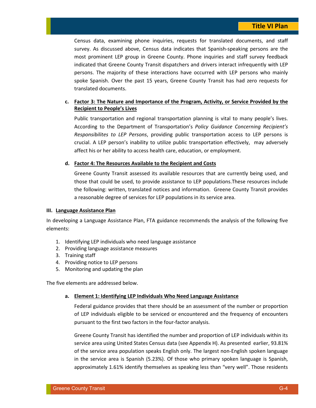Census data, examining phone inquiries, requests for translated documents, and staff survey. As discussed above, Census data indicates that Spanish-speaking persons are the most prominent LEP group in Greene County. Phone inquiries and staff survey feedback indicated that Greene County Transit dispatchers and drivers interact infrequently with LEP persons. The majority of these interactions have occurred with LEP persons who mainly spoke Spanish. Over the past 15 years, Greene County Transit has had zero requests for translated documents.

#### **c. Factor 3: The Nature and Importance of the Program, Activity, or Service Provided by the Recipient to People's Lives**

Public transportation and regional transportation planning is vital to many people's lives. According to the Department of Transportation's *Policy Guidance Concerning Recipient's Responsibilites to LEP Persons*, providing public transportation access to LEP persons is crucial. A LEP person's inability to utilize public transportation effectively, may adversely affect his or her ability to access health care, education, or employment.

#### **d. Factor 4: The Resources Available to the Recipient and Costs**

Greene County Transit assessed its available resources that are currently being used, and those that could be used, to provide assistance to LEP populations.These resources include the following: written, translated notices and information. Greene County Transit provides a reasonable degree of services for LEP populations in its service area.

#### **III. Language Assistance Plan**

In developing a Language Assistance Plan, FTA guidance recommends the analysis of the following five elements:

- 1. Identifying LEP individuals who need language assistance
- 2. Providing language assistance measures
- 3. Training staff
- 4. Providing notice to LEP persons
- 5. Monitoring and updating the plan

The five elements are addressed below.

#### **a. Element 1: Identifying LEP Individuals Who Need Language Assistance**

Federal guidance provides that there should be an assessment of the number or proportion of LEP individuals eligible to be serviced or encountered and the frequency of encounters pursuant to the first two factors in the four-factor analysis.

Greene County Transit has identified the number and proportion of LEP individuals within its service area using United States Census data (see Appendix H). As presented earlier, 93.81% of the service area population speaks English only. The largest non-English spoken language in the service area is Spanish (5.23%). Of those who primary spoken language is Spanish, approximately 1.61% identify themselves as speaking less than "very well". Those residents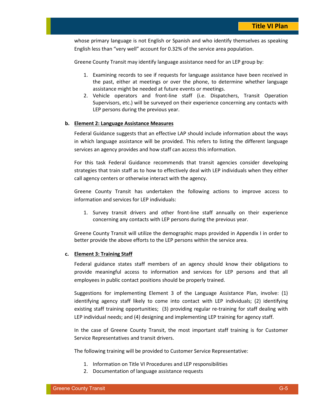whose primary language is not English or Spanish and who identify themselves as speaking English less than "very well" account for 0.32% of the service area population.

Greene County Transit may identify language assistance need for an LEP group by:

- 1. Examining records to see if requests for language assistance have been received in the past, either at meetings or over the phone, to determine whether language assistance might be needed at future events or meetings.
- 2. Vehicle operators and front-line staff (i.e. Dispatchers, Transit Operation Supervisors, etc.) will be surveyed on their experience concerning any contacts with LEP persons during the previous year.

#### **b. Element 2: Language Assistance Measures**

Federal Guidance suggests that an effective LAP should include information about the ways in which language assistance will be provided. This refers to listing the different language services an agency provides and how staff can access this information.

For this task Federal Guidance recommends that transit agencies consider developing strategies that train staff as to how to effectively deal with LEP individuals when they either call agency centers or otherwise interact with the agency.

Greene County Transit has undertaken the following actions to improve access to information and services for LEP individuals:

1. Survey transit drivers and other front-line staff annually on their experience concerning any contacts with LEP persons during the previous year.

Greene County Transit will utilize the demographic maps provided in Appendix I in order to better provide the above efforts to the LEP persons within the service area.

#### **c. Element 3: Training Staff**

Federal guidance states staff members of an agency should know their obligations to provide meaningful access to information and services for LEP persons and that all employees in public contact positions should be properly trained.

Suggestions for implementing Element 3 of the Language Assistance Plan, involve: (1) identifying agency staff likely to come into contact with LEP individuals; (2) identifying existing staff training opportunities; (3) providing regular re-training for staff dealing with LEP individual needs; and (4) designing and implementing LEP training for agency staff.

In the case of Greene County Transit, the most important staff training is for Customer Service Representatives and transit drivers.

The following training will be provided to Customer Service Representative:

- 1. Information on Title VI Procedures and LEP responsibilities
- 2. Documentation of language assistance requests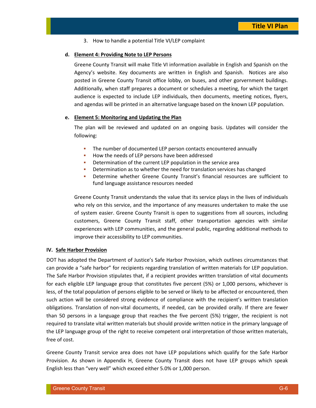3. How to handle a potential Title VI/LEP complaint

#### **d. Element 4: Providing Note to LEP Persons**

Greene County Transit will make Title VI information available in English and Spanish on the Agency's website. Key documents are written in English and Spanish. Notices are also posted in Greene County Transit office lobby, on buses, and other gorvernment buildings. Additionally, when staff prepares a document or schedules a meeting, for which the target audience is expected to include LEP individuals, then documents, meeting notices, flyers, and agendas will be printed in an alternative language based on the known LEP population.

#### **e. Element 5: Monitoring and Updating the Plan**

The plan will be reviewed and updated on an ongoing basis. Updates will consider the following:

- The number of documented LEP person contacts encountered annually
- How the needs of LEP persons have been addressed
- **•** Determination of the current LEP population in the service area
- **•** Determination as to whether the need for translation services has changed
- Determine whether Greene County Transit's financial resources are sufficient to fund language assistance resources needed

Greene County Transit understands the value that its service plays in the lives of individuals who rely on this service, and the importance of any measures undertaken to make the use of system easier. Greene County Transit is open to suggestions from all sources, including customers, Greene County Transit staff, other transportation agencies with similar experiences with LEP communities, and the general public, regarding additional methods to improve their accessibility to LEP communities.

#### **IV. Safe Harbor Provision**

DOT has adopted the Department of Justice's Safe Harbor Provision, which outlines circumstances that can provide a "safe harbor" for recipients regarding translation of written materials for LEP population. The Safe Harbor Provision stipulates that, if a recipient provides written translation of vital documents for each eligible LEP language group that constitutes five percent (5%) or 1,000 persons, whichever is less, of the total population of persons eligible to be served or likely to be affected or encountered, then such action will be considered strong evidence of compliance with the recipient's written translation obligations. Translation of non-vital documents, if needed, can be provided orally. If there are fewer than 50 persons in a language group that reaches the five percent (5%) trigger, the recipient is not required to translate vital written materials but should provide written notice in the primary language of the LEP language group of the right to receive competent oral interpretation of those written materials, free of cost.

Greene County Transit service area does not have LEP populations which qualify for the Safe Harbor Provision. As shown in Appendix H, Greene County Transit does not have LEP groups which speak English less than "very well" which exceed either 5.0% or 1,000 person.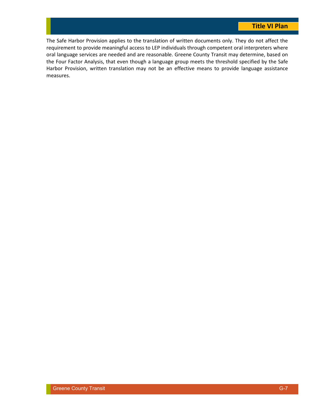The Safe Harbor Provision applies to the translation of written documents only. They do not affect the requirement to provide meaningful access to LEP individuals through competent oral interpreters where oral language services are needed and are reasonable. Greene County Transit may determine, based on the Four Factor Analysis, that even though a language group meets the threshold specified by the Safe Harbor Provision, written translation may not be an effective means to provide language assistance measures.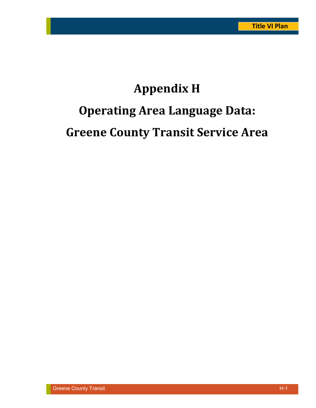# **Appendix H Operating Area Language Data: Greene County Transit Service Area**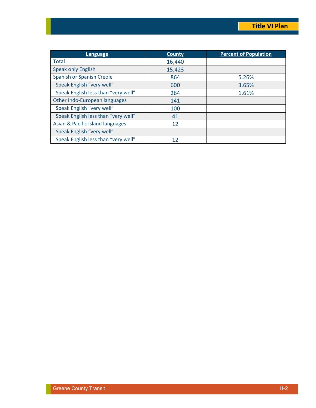| <b>Language</b>                     | <b>County</b> | <b>Percent of Population</b> |
|-------------------------------------|---------------|------------------------------|
| <b>Total</b>                        | 16,440        |                              |
| <b>Speak only English</b>           | 15,423        |                              |
| Spanish or Spanish Creole           | 864           | 5.26%                        |
| Speak English "very well"           | 600           | 3.65%                        |
| Speak English less than "very well" | 264           | 1.61%                        |
| Other Indo-European languages       | 141           |                              |
| Speak English "very well"           | 100           |                              |
| Speak English less than "very well" | 41            |                              |
| Asian & Pacific Island languages    | 12            |                              |
| Speak English "very well"           |               |                              |
| Speak English less than "very well" | 12            |                              |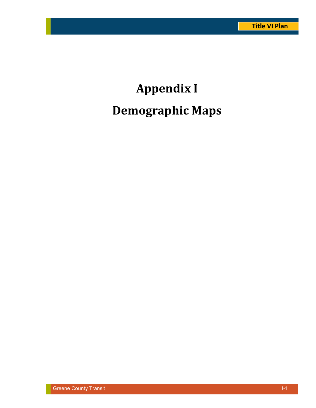# **Appendix I Demographic Maps**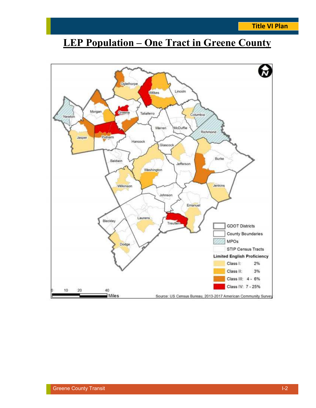## **LEP Population – One Tract in Greene County**

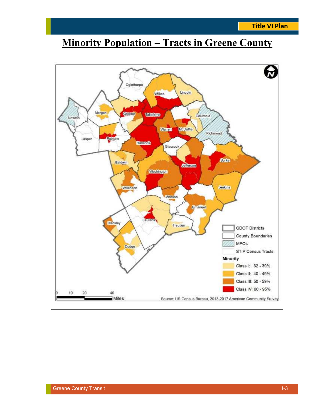## **Minority Population – Tracts in Greene County**

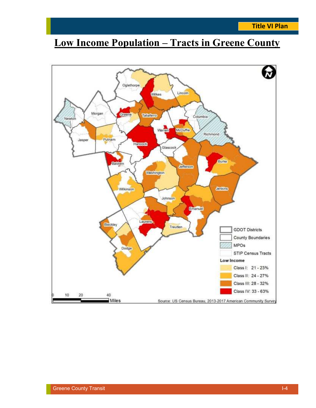## **Low Income Population – Tracts in Greene County**

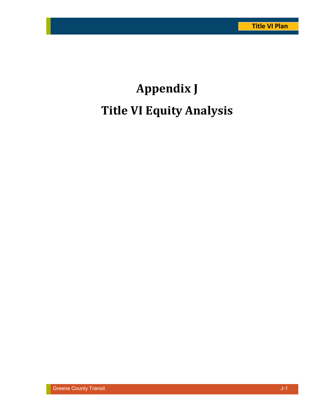# **Appendix J Title VI Equity Analysis**